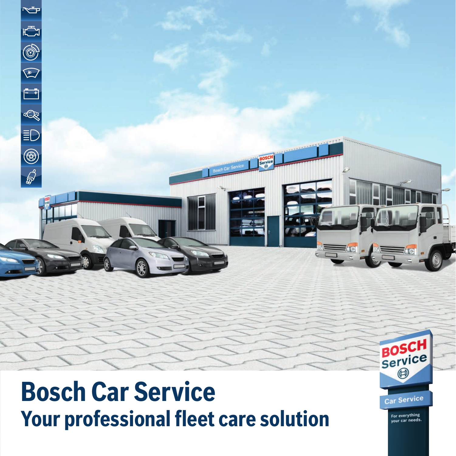

# **Bosch Car Service Your professional fleet care solution**

Car Service

For everything<br>your car needs.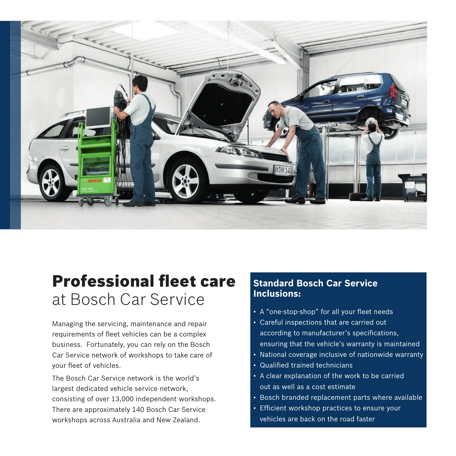

## Professional fleet care at Bosch Car Service

Managing the servicing, maintenance and repair requirements of fleet vehicles can be a complex business. Fortunately, you can rely on the Bosch Car Service network of workshops to take care of your fleet of vehicles.

The Bosch Car Service network is the world's largest dedicated vehicle service network, consisting of over 13,000 independent workshops. There are approximately 140 Bosch Car Service workshops across Australia and New Zealand.

#### **Standard Bosch Car Service Inclusions:**

- A "one-stop-shop" for all your fleet needs
- Careful inspections that are carried out according to manufacturer's specifications, ensuring that the vehicle's warranty is maintained
- National coverage inclusive of nationwide warranty
- Qualified trained technicians
- A clear explanation of the work to be carried out as well as a cost estimate
- Bosch branded replacement parts where available
- Efficient workshop practices to ensure your vehicles are back on the road faster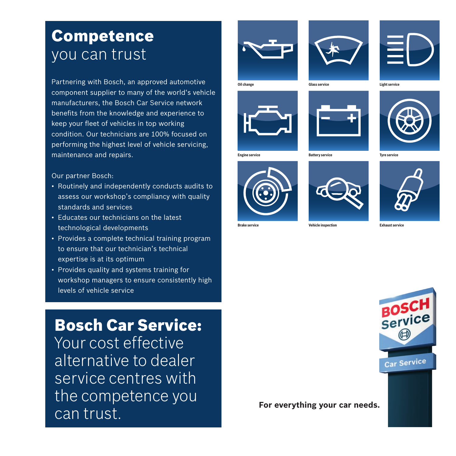#### Competence you can trust

Partnering with Bosch, an approved automotive component supplier to many of the world's vehicle manufacturers, the Bosch Car Service network benefits from the knowledge and experience to keep your fleet of vehicles in top working condition. Our technicians are 100% focused on performing the highest level of vehicle servicing, maintenance and repairs.

Our partner Bosch:

- Routinely and independently conducts audits to assess our workshop' s compliancy with quality standards and services
- Educates our technicians on the latest technological developments
- Provides a complete technical training program to ensure that our technician' s technical expertise is at its optimum
- Provides quality and systems training for workshop managers to ensure consistently high levels of vehicle service

#### Bosch Car Service:

Your cost effective alternative to dealer service centres with the competence you can trust. **For everything your car needs.** 











**Engine service Battery service Tyre service**







**Brake service Vehicle inspection Exhaust service**